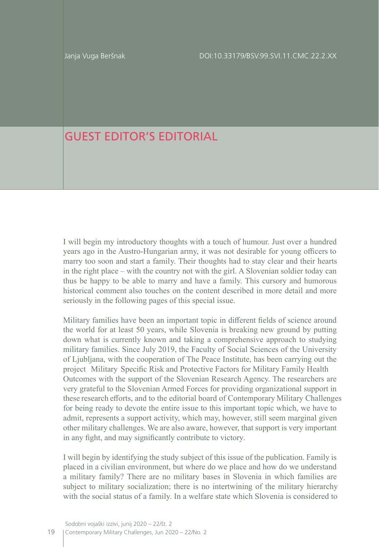## GUEST EDITOR'S EDITORIAL

I will begin my introductory thoughts with a touch of humour. Just over a hundred years ago in the Austro-Hungarian army, it was not desirable for young officers to marry too soon and start a family. Their thoughts had to stay clear and their hearts in the right place – with the country not with the girl. A Slovenian soldier today can thus be happy to be able to marry and have a family. This cursory and humorous historical comment also touches on the content described in more detail and more seriously in the following pages of this special issue.

Military families have been an important topic in different fields of science around the world for at least 50 years, while Slovenia is breaking new ground by putting down what is currently known and taking a comprehensive approach to studying military families. Since July 2019, the Faculty of Social Sciences of the University of Ljubljana, with the cooperation of The Peace Institute, has been carrying out the project Military Specific Risk and Protective Factors for Military Family Health Outcomes with the support of the Slovenian Research Agency. The researchers are very grateful to the Slovenian Armed Forces for providing organizational support in these research efforts, and to the editorial board of Contemporary Military Challenges for being ready to devote the entire issue to this important topic which, we have to admit, represents a support activity, which may, however, still seem marginal given other military challenges. We are also aware, however, that support is very important in any fight, and may significantly contribute to victory.

I will begin by identifying the study subject of this issue of the publication. Family is placed in a civilian environment, but where do we place and how do we understand a military family? There are no military bases in Slovenia in which families are subject to military socialization; there is no intertwining of the military hierarchy with the social status of a family. In a welfare state which Slovenia is considered to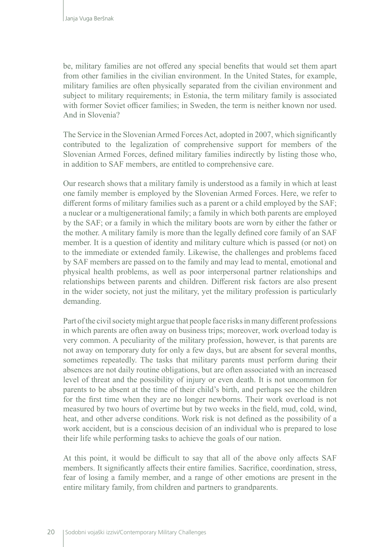be, military families are not offered any special benefits that would set them apart from other families in the civilian environment. In the United States, for example, military families are often physically separated from the civilian environment and subject to military requirements; in Estonia, the term military family is associated with former Soviet officer families; in Sweden, the term is neither known nor used. And in Slovenia?

The Service in the Slovenian Armed Forces Act, adopted in 2007, which significantly contributed to the legalization of comprehensive support for members of the Slovenian Armed Forces, defined military families indirectly by listing those who, in addition to SAF members, are entitled to comprehensive care.

Our research shows that a military family is understood as a family in which at least one family member is employed by the Slovenian Armed Forces. Here, we refer to different forms of military families such as a parent or a child employed by the SAF; a nuclear or a multigenerational family; a family in which both parents are employed by the SAF; or a family in which the military boots are worn by either the father or the mother. A military family is more than the legally defined core family of an SAF member. It is a question of identity and military culture which is passed (or not) on to the immediate or extended family. Likewise, the challenges and problems faced by SAF members are passed on to the family and may lead to mental, emotional and physical health problems, as well as poor interpersonal partner relationships and relationships between parents and children. Different risk factors are also present in the wider society, not just the military, yet the military profession is particularly demanding.

Part of the civil society might argue that people face risks in many different professions in which parents are often away on business trips; moreover, work overload today is very common. A peculiarity of the military profession, however, is that parents are not away on temporary duty for only a few days, but are absent for several months, sometimes repeatedly. The tasks that military parents must perform during their absences are not daily routine obligations, but are often associated with an increased level of threat and the possibility of injury or even death. It is not uncommon for parents to be absent at the time of their child's birth, and perhaps see the children for the first time when they are no longer newborns. Their work overload is not measured by two hours of overtime but by two weeks in the field, mud, cold, wind, heat, and other adverse conditions. Work risk is not defined as the possibility of a work accident, but is a conscious decision of an individual who is prepared to lose their life while performing tasks to achieve the goals of our nation.

At this point, it would be difficult to say that all of the above only affects SAF members. It significantly affects their entire families. Sacrifice, coordination, stress, fear of losing a family member, and a range of other emotions are present in the entire military family, from children and partners to grandparents.